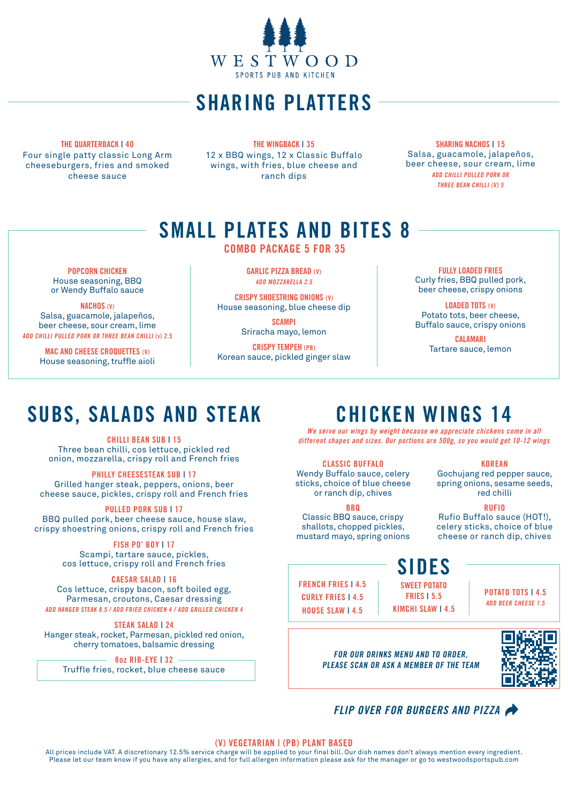

## SHARING PLATTERS

THE QUARTERBACK | 40 Four single patty classic Long Arm cheeseburgers, fries and smoked cheese sauce

THE WINGBACK | 35 12 x BBQ wings, 12 x Classic Buffalo wings, with fries, blue cheese and ranch dips

SHARING NACHOS I 15 Salsa, guacamole, jalapeños, beer cheese, sour cream, lime ADD CHILLI PULLED PORK OR THREE BEAN CHILLI (V) 5

## SMALL PLATES AND BITES 8

COMBO PACKAGE 5 FOR 35

POPCORN CHICKEN House seasoning, BBQ or Wendy Buffalo sauce

NACHOS (V) Salsa, guacamole, jalapeños, beer cheese, sour cream, lime ADD CHILLI PULLED PORK OR THREE BEAN CHILLI (v) 2.5

> MAC AND CHEESE CROQUETTES (V) House seasoning, truffle aioli

GARLIC PIZZA BREAD (V) ADD MOZZARELLA 2.5

CRISPY SHOESTRING ONIONS (V) House seasoning, blue cheese dip

> **SCAMPI** Sriracha mayo, lemon

CRISPY TEMPEH (PB) Korean sauce, pickled ginger slaw

FULLY LOADED FRIES Curly fries, BBQ pulled pork, beer cheese, crispy onions

LOADED TOTS (V) Potato tots, beer cheese, Buffalo sauce, crispy onions

> CALAMARI Tartare sauce, lemon

## SUBS, SALADS AND STEAK

CHILLI BEAN SUB | 15 Three bean chilli, cos lettuce, pickled red onion, mozzarella, crispy roll and French fries

PHILLY CHEESESTEAK SUB | 17 Grilled hanger steak, peppers, onions, beer cheese sauce, pickles, crispy roll and French fries

PULLED PORK SUB | 17 BBQ pulled pork, beer cheese sauce, house slaw, crispy shoestring onions, crispy roll and French fries

> FISH PO' BOY | 17 Scampi, tartare sauce, pickles, cos lettuce, crispy roll and French fries

CAESAR SALAD | 16 Cos lettuce, crispy bacon, soft boiled egg, Parmesan, croutons, Caesar dressing ADD HANGER STEAK 8.5 / ADD FRIED CHICKEN 4 / ADD GRILLED CHICKEN 4

STEAK SALAD | 24 Hanger steak, rocket, Parmesan, pickled red onion, cherry tomatoes, balsamic dressing

8oz RIB-EYE | 32 Truffle fries, rocket, blue cheese sauce

# CHICKEN WINGS 14

We serve our wings by weight because we appreciate chickens come in all different shapes and sizes. Our portions are 500g, so you would get 10-12 wings

CLASSIC BUFFALO Wendy Buffalo sauce, celery sticks, choice of blue cheese or ranch dip, chives

**BRO** 

Classic BBQ sauce, crispy shallots, chopped pickles, mustard mayo, spring onions

KOREAN Gochujang red pepper sauce,

spring onions, sesame seeds, red chilli RUFIO

Rufio Buffalo sauce (HOT!), celery sticks, choice of blue cheese or ranch dip, chives

## SIDES

FRENCH FRIES | 4.5 CURLY FRIES | 4.5 HOUSE SLAW | 4.5 SWEET POTATO FRIES | 5.5 KIMCHI SLAW | 4.5

POTATO TOTS | 4.5 ADD BEER CHEESE 1.5

FOR OUR DRINKS MENU AND TO ORDER, PLEASE SCAN OR ASK A MEMBER OF THE TEAM



### FLIP OVER FOR BURGERS AND PIZZA

(V) VEGETARIAN | (PB) PLANT BASED

All prices include VAT. A discretionary 12.5% service charge will be applied to your final bill. Our dish names don't always mention every ingredient. Please let our team know if you have any allergies, and for full allergen information please ask for the manager or go to westwoodsportspub.com